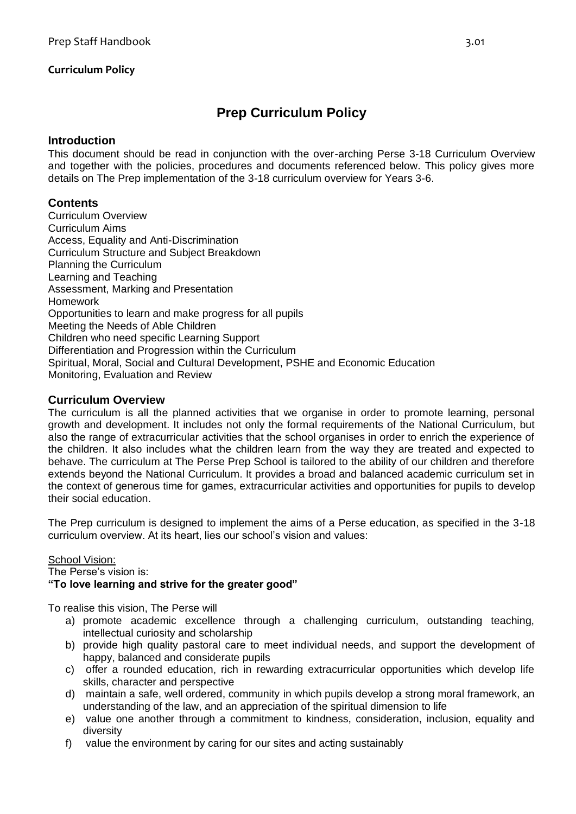# **Prep Curriculum Policy**

#### **Introduction**

This document should be read in conjunction with the over-arching Perse 3-18 Curriculum Overview and together with the policies, procedures and documents referenced below. This policy gives more details on The Prep implementation of the 3-18 curriculum overview for Years 3-6.

#### **Contents**

Curriculum Overview Curriculum Aims Access, Equality and Anti-Discrimination Curriculum Structure and Subject Breakdown Planning the Curriculum Learning and Teaching Assessment, Marking and Presentation Homework Opportunities to learn and make progress for all pupils Meeting the Needs of Able Children Children who need specific Learning Support Differentiation and Progression within the Curriculum Spiritual, Moral, Social and Cultural Development, PSHE and Economic Education Monitoring, Evaluation and Review

#### **Curriculum Overview**

The curriculum is all the planned activities that we organise in order to promote learning, personal growth and development. It includes not only the formal requirements of the National Curriculum, but also the range of extracurricular activities that the school organises in order to enrich the experience of the children. It also includes what the children learn from the way they are treated and expected to behave. The curriculum at The Perse Prep School is tailored to the ability of our children and therefore extends beyond the National Curriculum. It provides a broad and balanced academic curriculum set in the context of generous time for games, extracurricular activities and opportunities for pupils to develop their social education.

The Prep curriculum is designed to implement the aims of a Perse education, as specified in the 3-18 curriculum overview. At its heart, lies our school's vision and values:

#### School Vision:

The Perse's vision is:

#### **"To love learning and strive for the greater good"**

To realise this vision, The Perse will

- a) promote academic excellence through a challenging curriculum, outstanding teaching, intellectual curiosity and scholarship
- b) provide high quality pastoral care to meet individual needs, and support the development of happy, balanced and considerate pupils
- c) offer a rounded education, rich in rewarding extracurricular opportunities which develop life skills, character and perspective
- d) maintain a safe, well ordered, community in which pupils develop a strong moral framework, an understanding of the law, and an appreciation of the spiritual dimension to life
- e) value one another through a commitment to kindness, consideration, inclusion, equality and diversity
- f) value the environment by caring for our sites and acting sustainably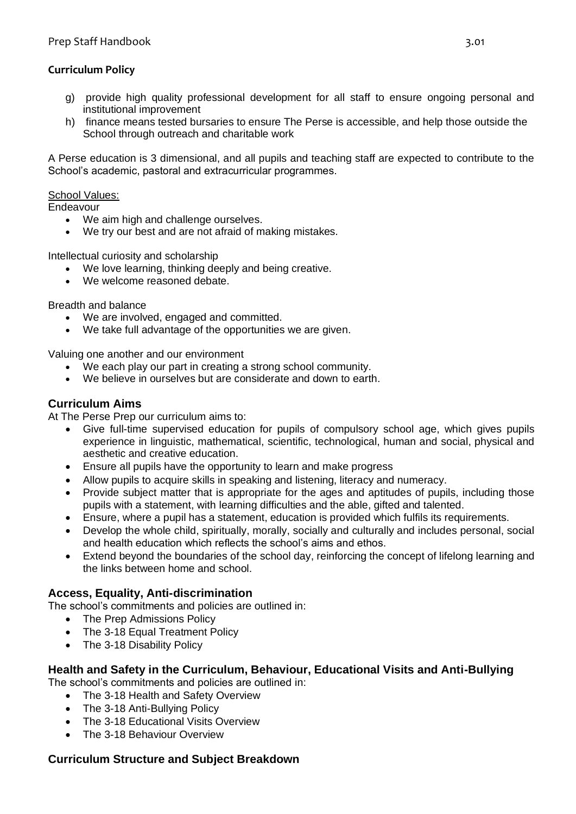- g) provide high quality professional development for all staff to ensure ongoing personal and institutional improvement
- h) finance means tested bursaries to ensure The Perse is accessible, and help those outside the School through outreach and charitable work

A Perse education is 3 dimensional, and all pupils and teaching staff are expected to contribute to the School's academic, pastoral and extracurricular programmes.

#### School Values:

**Endeavour** 

- We aim high and challenge ourselves.
- We try our best and are not afraid of making mistakes.

Intellectual curiosity and scholarship

- We love learning, thinking deeply and being creative.
- We welcome reasoned debate.

Breadth and balance

- We are involved, engaged and committed.
- We take full advantage of the opportunities we are given.

Valuing one another and our environment

- We each play our part in creating a strong school community.
- We believe in ourselves but are considerate and down to earth.

### **Curriculum Aims**

At The Perse Prep our curriculum aims to:

- Give full-time supervised education for pupils of compulsory school age, which gives pupils experience in linguistic, mathematical, scientific, technological, human and social, physical and aesthetic and creative education.
- Ensure all pupils have the opportunity to learn and make progress
- Allow pupils to acquire skills in speaking and listening, literacy and numeracy.
- Provide subject matter that is appropriate for the ages and aptitudes of pupils, including those pupils with a statement, with learning difficulties and the able, gifted and talented.
- Ensure, where a pupil has a statement, education is provided which fulfils its requirements.
- Develop the whole child, spiritually, morally, socially and culturally and includes personal, social and health education which reflects the school's aims and ethos.
- Extend beyond the boundaries of the school day, reinforcing the concept of lifelong learning and the links between home and school.

#### **Access, Equality, Anti-discrimination**

The school's commitments and policies are outlined in:

- The Prep Admissions Policy
- The 3-18 Equal Treatment Policy
- The 3-18 Disability Policy

#### **Health and Safety in the Curriculum, Behaviour, Educational Visits and Anti-Bullying**

The school's commitments and policies are outlined in:

- The 3-18 Health and Safety Overview
- The 3-18 Anti-Bullying Policy
- The 3-18 Educational Visits Overview
- The 3-18 Behaviour Overview

#### **Curriculum Structure and Subject Breakdown**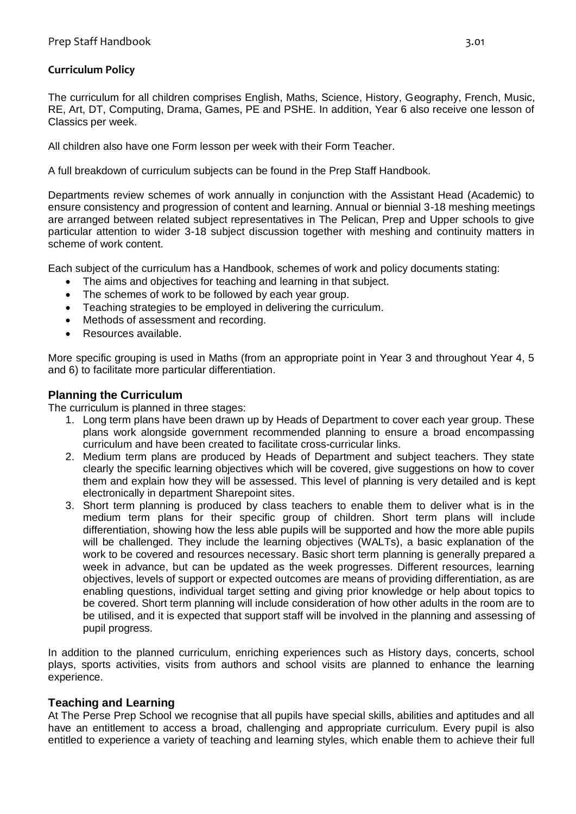The curriculum for all children comprises English, Maths, Science, History, Geography, French, Music, RE, Art, DT, Computing, Drama, Games, PE and PSHE. In addition, Year 6 also receive one lesson of Classics per week.

All children also have one Form lesson per week with their Form Teacher.

A full breakdown of curriculum subjects can be found in the Prep Staff Handbook.

Departments review schemes of work annually in conjunction with the Assistant Head (Academic) to ensure consistency and progression of content and learning. Annual or biennial 3-18 meshing meetings are arranged between related subject representatives in The Pelican, Prep and Upper schools to give particular attention to wider 3-18 subject discussion together with meshing and continuity matters in scheme of work content.

Each subject of the curriculum has a Handbook, schemes of work and policy documents stating:

- The aims and objectives for teaching and learning in that subject.
- The schemes of work to be followed by each year group.
- Teaching strategies to be employed in delivering the curriculum.
- Methods of assessment and recording.
- Resources available.

More specific grouping is used in Maths (from an appropriate point in Year 3 and throughout Year 4, 5 and 6) to facilitate more particular differentiation.

#### **Planning the Curriculum**

The curriculum is planned in three stages:

- 1. Long term plans have been drawn up by Heads of Department to cover each year group. These plans work alongside government recommended planning to ensure a broad encompassing curriculum and have been created to facilitate cross-curricular links.
- 2. Medium term plans are produced by Heads of Department and subject teachers. They state clearly the specific learning objectives which will be covered, give suggestions on how to cover them and explain how they will be assessed. This level of planning is very detailed and is kept electronically in department Sharepoint sites.
- 3. Short term planning is produced by class teachers to enable them to deliver what is in the medium term plans for their specific group of children. Short term plans will include differentiation, showing how the less able pupils will be supported and how the more able pupils will be challenged. They include the learning objectives (WALTs), a basic explanation of the work to be covered and resources necessary. Basic short term planning is generally prepared a week in advance, but can be updated as the week progresses. Different resources, learning objectives, levels of support or expected outcomes are means of providing differentiation, as are enabling questions, individual target setting and giving prior knowledge or help about topics to be covered. Short term planning will include consideration of how other adults in the room are to be utilised, and it is expected that support staff will be involved in the planning and assessing of pupil progress.

In addition to the planned curriculum, enriching experiences such as History days, concerts, school plays, sports activities, visits from authors and school visits are planned to enhance the learning experience.

#### **Teaching and Learning**

At The Perse Prep School we recognise that all pupils have special skills, abilities and aptitudes and all have an entitlement to access a broad, challenging and appropriate curriculum. Every pupil is also entitled to experience a variety of teaching and learning styles, which enable them to achieve their full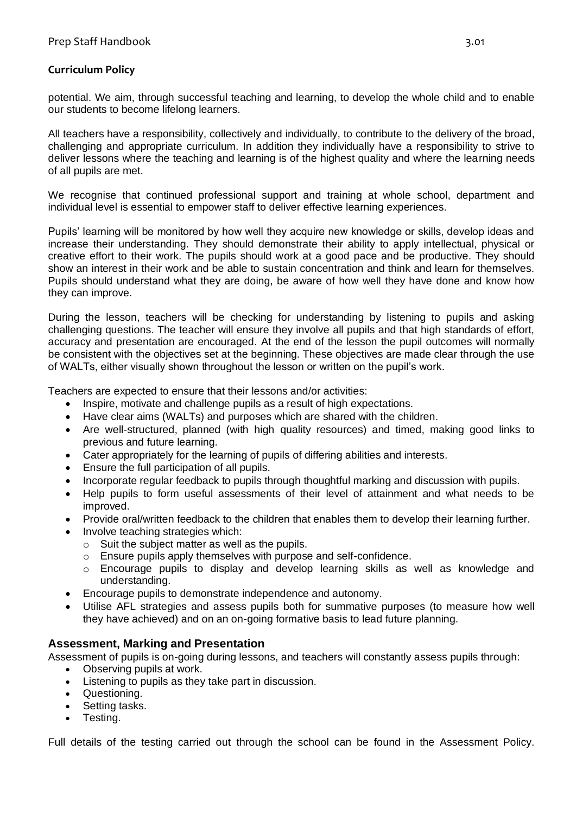potential. We aim, through successful teaching and learning, to develop the whole child and to enable our students to become lifelong learners.

All teachers have a responsibility, collectively and individually, to contribute to the delivery of the broad, challenging and appropriate curriculum. In addition they individually have a responsibility to strive to deliver lessons where the teaching and learning is of the highest quality and where the learning needs of all pupils are met.

We recognise that continued professional support and training at whole school, department and individual level is essential to empower staff to deliver effective learning experiences.

Pupils' learning will be monitored by how well they acquire new knowledge or skills, develop ideas and increase their understanding. They should demonstrate their ability to apply intellectual, physical or creative effort to their work. The pupils should work at a good pace and be productive. They should show an interest in their work and be able to sustain concentration and think and learn for themselves. Pupils should understand what they are doing, be aware of how well they have done and know how they can improve.

During the lesson, teachers will be checking for understanding by listening to pupils and asking challenging questions. The teacher will ensure they involve all pupils and that high standards of effort, accuracy and presentation are encouraged. At the end of the lesson the pupil outcomes will normally be consistent with the objectives set at the beginning. These objectives are made clear through the use of WALTs, either visually shown throughout the lesson or written on the pupil's work.

Teachers are expected to ensure that their lessons and/or activities:

- Inspire, motivate and challenge pupils as a result of high expectations.
- Have clear aims (WALTs) and purposes which are shared with the children.
- Are well-structured, planned (with high quality resources) and timed, making good links to previous and future learning.
- Cater appropriately for the learning of pupils of differing abilities and interests.
- Ensure the full participation of all pupils.
- Incorporate regular feedback to pupils through thoughtful marking and discussion with pupils.
- Help pupils to form useful assessments of their level of attainment and what needs to be improved.
- Provide oral/written feedback to the children that enables them to develop their learning further.
- Involve teaching strategies which:
	- o Suit the subject matter as well as the pupils.
	- o Ensure pupils apply themselves with purpose and self-confidence.
	- o Encourage pupils to display and develop learning skills as well as knowledge and understanding.
- Encourage pupils to demonstrate independence and autonomy.
- Utilise AFL strategies and assess pupils both for summative purposes (to measure how well they have achieved) and on an on-going formative basis to lead future planning.

#### **Assessment, Marking and Presentation**

Assessment of pupils is on-going during lessons, and teachers will constantly assess pupils through:

- Observing pupils at work.
- Listening to pupils as they take part in discussion.
- Questioning.
- Setting tasks.
- Testing.

Full details of the testing carried out through the school can be found in the Assessment Policy.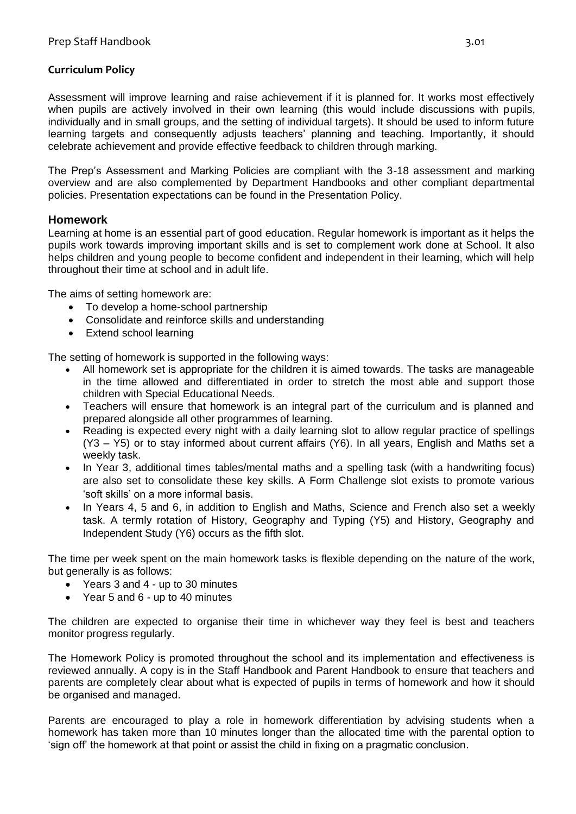Assessment will improve learning and raise achievement if it is planned for. It works most effectively when pupils are actively involved in their own learning (this would include discussions with pupils, individually and in small groups, and the setting of individual targets). It should be used to inform future learning targets and consequently adjusts teachers' planning and teaching. Importantly, it should celebrate achievement and provide effective feedback to children through marking.

The Prep's Assessment and Marking Policies are compliant with the 3-18 assessment and marking overview and are also complemented by Department Handbooks and other compliant departmental policies. Presentation expectations can be found in the Presentation Policy.

#### **Homework**

Learning at home is an essential part of good education. Regular homework is important as it helps the pupils work towards improving important skills and is set to complement work done at School. It also helps children and young people to become confident and independent in their learning, which will help throughout their time at school and in adult life.

The aims of setting homework are:

- To develop a home-school partnership
- Consolidate and reinforce skills and understanding
- Extend school learning

The setting of homework is supported in the following ways:

- All homework set is appropriate for the children it is aimed towards. The tasks are manageable in the time allowed and differentiated in order to stretch the most able and support those children with Special Educational Needs.
- Teachers will ensure that homework is an integral part of the curriculum and is planned and prepared alongside all other programmes of learning.
- Reading is expected every night with a daily learning slot to allow regular practice of spellings (Y3 – Y5) or to stay informed about current affairs (Y6). In all years, English and Maths set a weekly task.
- In Year 3, additional times tables/mental maths and a spelling task (with a handwriting focus) are also set to consolidate these key skills. A Form Challenge slot exists to promote various 'soft skills' on a more informal basis.
- In Years 4, 5 and 6, in addition to English and Maths, Science and French also set a weekly task. A termly rotation of History, Geography and Typing (Y5) and History, Geography and Independent Study (Y6) occurs as the fifth slot.

The time per week spent on the main homework tasks is flexible depending on the nature of the work, but generally is as follows:

- Years 3 and 4 up to 30 minutes
- Year 5 and 6 up to 40 minutes

The children are expected to organise their time in whichever way they feel is best and teachers monitor progress regularly.

The Homework Policy is promoted throughout the school and its implementation and effectiveness is reviewed annually. A copy is in the Staff Handbook and Parent Handbook to ensure that teachers and parents are completely clear about what is expected of pupils in terms of homework and how it should be organised and managed.

Parents are encouraged to play a role in homework differentiation by advising students when a homework has taken more than 10 minutes longer than the allocated time with the parental option to 'sign off' the homework at that point or assist the child in fixing on a pragmatic conclusion.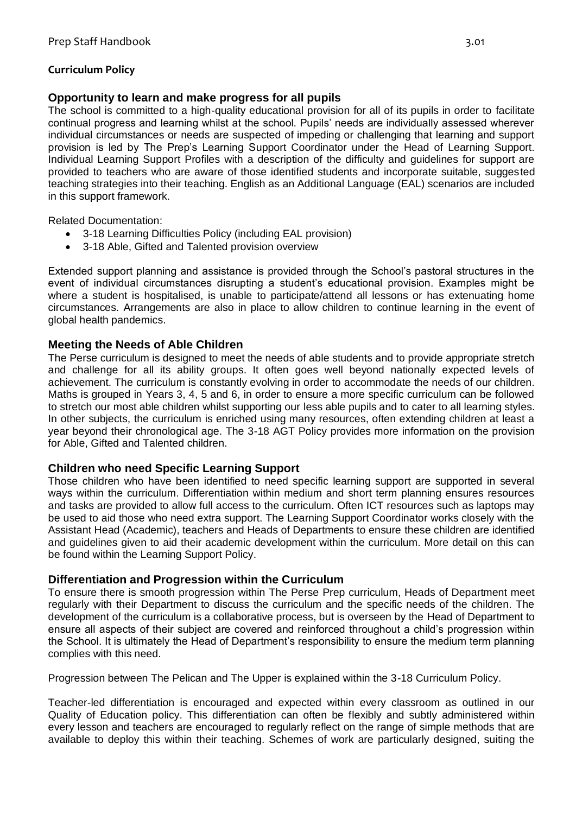#### **Opportunity to learn and make progress for all pupils**

The school is committed to a high-quality educational provision for all of its pupils in order to facilitate continual progress and learning whilst at the school. Pupils' needs are individually assessed wherever individual circumstances or needs are suspected of impeding or challenging that learning and support provision is led by The Prep's Learning Support Coordinator under the Head of Learning Support. Individual Learning Support Profiles with a description of the difficulty and guidelines for support are provided to teachers who are aware of those identified students and incorporate suitable, suggested teaching strategies into their teaching. English as an Additional Language (EAL) scenarios are included in this support framework.

Related Documentation:

- 3-18 Learning Difficulties Policy (including EAL provision)
- 3-18 Able, Gifted and Talented provision overview

Extended support planning and assistance is provided through the School's pastoral structures in the event of individual circumstances disrupting a student's educational provision. Examples might be where a student is hospitalised, is unable to participate/attend all lessons or has extenuating home circumstances. Arrangements are also in place to allow children to continue learning in the event of global health pandemics.

#### **Meeting the Needs of Able Children**

The Perse curriculum is designed to meet the needs of able students and to provide appropriate stretch and challenge for all its ability groups. It often goes well beyond nationally expected levels of achievement. The curriculum is constantly evolving in order to accommodate the needs of our children. Maths is grouped in Years 3, 4, 5 and 6, in order to ensure a more specific curriculum can be followed to stretch our most able children whilst supporting our less able pupils and to cater to all learning styles. In other subjects, the curriculum is enriched using many resources, often extending children at least a year beyond their chronological age. The 3-18 AGT Policy provides more information on the provision for Able, Gifted and Talented children.

#### **Children who need Specific Learning Support**

Those children who have been identified to need specific learning support are supported in several ways within the curriculum. Differentiation within medium and short term planning ensures resources and tasks are provided to allow full access to the curriculum. Often ICT resources such as laptops may be used to aid those who need extra support. The Learning Support Coordinator works closely with the Assistant Head (Academic), teachers and Heads of Departments to ensure these children are identified and guidelines given to aid their academic development within the curriculum. More detail on this can be found within the Learning Support Policy.

#### **Differentiation and Progression within the Curriculum**

To ensure there is smooth progression within The Perse Prep curriculum, Heads of Department meet regularly with their Department to discuss the curriculum and the specific needs of the children. The development of the curriculum is a collaborative process, but is overseen by the Head of Department to ensure all aspects of their subject are covered and reinforced throughout a child's progression within the School. It is ultimately the Head of Department's responsibility to ensure the medium term planning complies with this need.

Progression between The Pelican and The Upper is explained within the 3-18 Curriculum Policy.

Teacher-led differentiation is encouraged and expected within every classroom as outlined in our Quality of Education policy. This differentiation can often be flexibly and subtly administered within every lesson and teachers are encouraged to regularly reflect on the range of simple methods that are available to deploy this within their teaching. Schemes of work are particularly designed, suiting the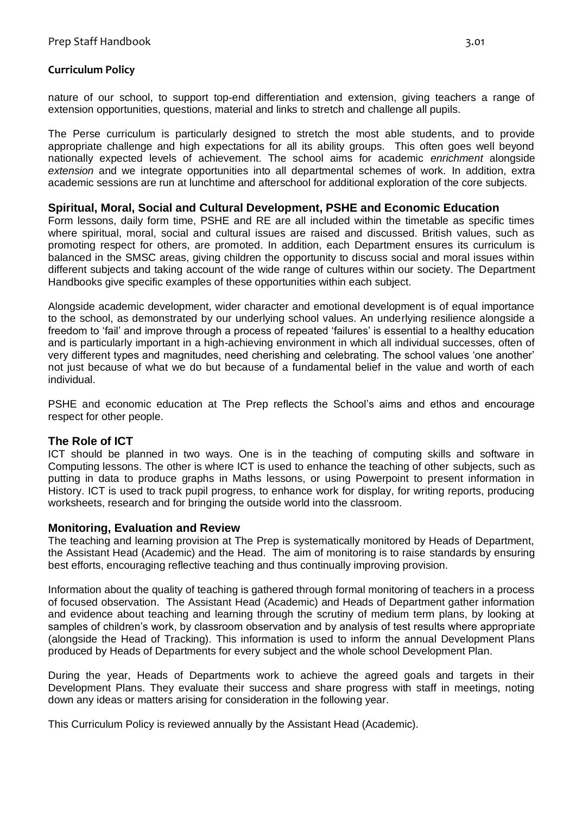nature of our school, to support top-end differentiation and extension, giving teachers a range of extension opportunities, questions, material and links to stretch and challenge all pupils.

The Perse curriculum is particularly designed to stretch the most able students, and to provide appropriate challenge and high expectations for all its ability groups. This often goes well beyond nationally expected levels of achievement. The school aims for academic *enrichment* alongside *extension* and we integrate opportunities into all departmental schemes of work. In addition, extra academic sessions are run at lunchtime and afterschool for additional exploration of the core subjects.

#### **Spiritual, Moral, Social and Cultural Development, PSHE and Economic Education**

Form lessons, daily form time, PSHE and RE are all included within the timetable as specific times where spiritual, moral, social and cultural issues are raised and discussed. British values, such as promoting respect for others, are promoted. In addition, each Department ensures its curriculum is balanced in the SMSC areas, giving children the opportunity to discuss social and moral issues within different subjects and taking account of the wide range of cultures within our society. The Department Handbooks give specific examples of these opportunities within each subject.

Alongside academic development, wider character and emotional development is of equal importance to the school, as demonstrated by our underlying school values. An underlying resilience alongside a freedom to 'fail' and improve through a process of repeated 'failures' is essential to a healthy education and is particularly important in a high-achieving environment in which all individual successes, often of very different types and magnitudes, need cherishing and celebrating. The school values 'one another' not just because of what we do but because of a fundamental belief in the value and worth of each individual.

PSHE and economic education at The Prep reflects the School's aims and ethos and encourage respect for other people.

#### **The Role of ICT**

ICT should be planned in two ways. One is in the teaching of computing skills and software in Computing lessons. The other is where ICT is used to enhance the teaching of other subjects, such as putting in data to produce graphs in Maths lessons, or using Powerpoint to present information in History. ICT is used to track pupil progress, to enhance work for display, for writing reports, producing worksheets, research and for bringing the outside world into the classroom.

#### **Monitoring, Evaluation and Review**

The teaching and learning provision at The Prep is systematically monitored by Heads of Department, the Assistant Head (Academic) and the Head. The aim of monitoring is to raise standards by ensuring best efforts, encouraging reflective teaching and thus continually improving provision.

Information about the quality of teaching is gathered through formal monitoring of teachers in a process of focused observation. The Assistant Head (Academic) and Heads of Department gather information and evidence about teaching and learning through the scrutiny of medium term plans, by looking at samples of children's work, by classroom observation and by analysis of test results where appropriate (alongside the Head of Tracking). This information is used to inform the annual Development Plans produced by Heads of Departments for every subject and the whole school Development Plan.

During the year, Heads of Departments work to achieve the agreed goals and targets in their Development Plans. They evaluate their success and share progress with staff in meetings, noting down any ideas or matters arising for consideration in the following year.

This Curriculum Policy is reviewed annually by the Assistant Head (Academic).